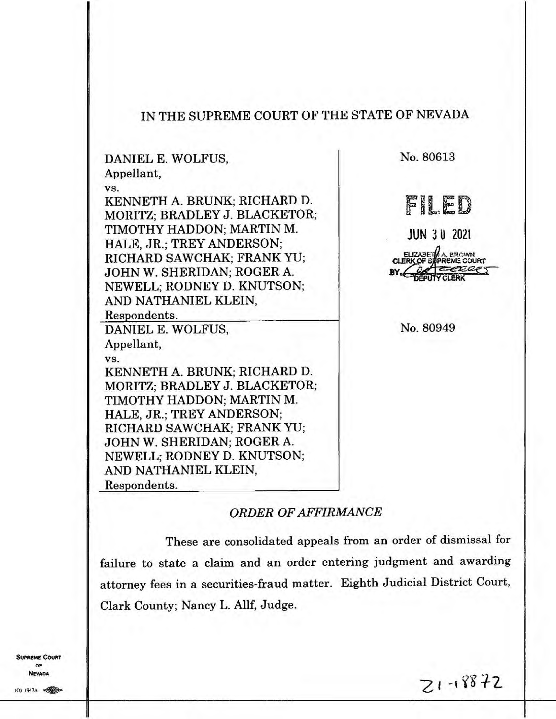## **IN THE SUPREME COURT OF THE STATE OF NEVADA**

**DANIEL E. WOLFUS, Appellant, VS. KENNETH A. BRUNK; RICHARD D. MORITZ; BRADLEY J. BLACKETOR; TIMOTHY HADDON; MARTIN M. HALE, JR.; TREY ANDERSON; RICHARD SAWCHAK; FRANK YU; JOHN W. SHERIDAN; ROGER A. NEWELL; RODNEY D. KNUTSON; AND NATHANIEL KLEIN,**  Respondents. **DANIEL E. WOLFUS, Appellant, VS. KENNETH A. BRUNK; RICHARD D. MORITZ; BRADLEY J. BLACKETOR; TIMOTHY HADDON; MARTIN M. HALE, JR.; TREY ANDERSON; RICHARD SAWCHAK; FRANK YU; JOHN W. SHERIDAN; ROGER A. NEWELL; RODNEY D. KNUTSON; AND NATHANIEL KLEIN,**  Respondents.

**No. 80613** 

FILED

**JUN 3 U 2021** 

A. *RCAVP*  **PREME COURT**  $a$ e $\tau$ 

**No. 80949** 

## *ORDER OF AFFIRMANCE*

**These are consolidated appeals from an order of dismissal for failure to state a claim and an order entering judgment and awarding attorney fees in a securities-fraud matter. Eighth Judicial District Court, Clark County; Nancy L. Allf, Judge.** 

**SUPREME COURT OF NEVADA** 

 $21 - 18872$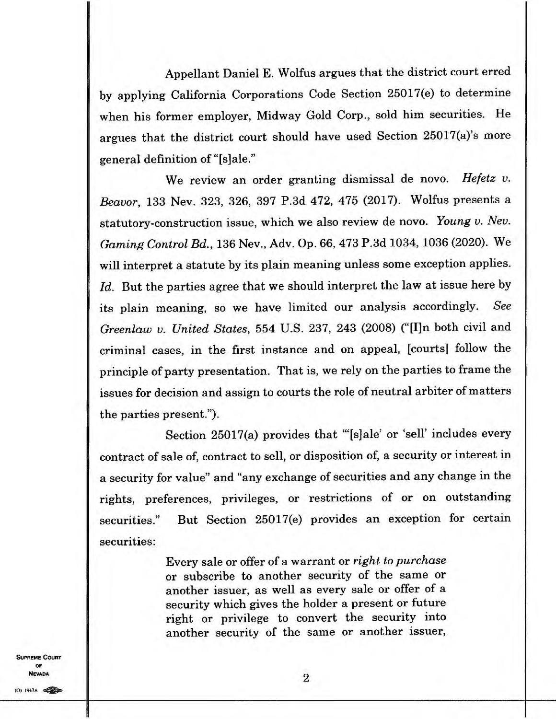Appellant Daniel E. Wolfus argues that the district court erred by applying California Corporations Code Section 25017(e) to determine when his former employer, Midway Gold Corp., sold him securities. He argues that the district court should have used Section 25017(a)'s more general definition of "[s]ale."

We review an order granting dismissal de novo. *Hefetz v. Beavor,* 133 Nev. 323, 326, 397 P.3d 472, 475 (2017). Wolfus presents a statutory-construction issue, which we also review de novo. *Young v. Nev. Gaming Control Bd.,* 136 Nev., Adv. Op. 66, 473 P.3d 1034, 1036 (2020). We will interpret a statute by its plain meaning unless some exception applies. Id. But the parties agree that we should interpret the law at issue here by its plain meaning, so we have limited our analysis accordingly. *See Greenlaw v. United States,* 554 U.S. 237, 243 (2008) ("[Iln both civil and criminal cases, in the first instance and on appeal, [courts] follow the principle of party presentation. That is, we rely on the parties to frame the issues for decision and assign to courts the role of neutral arbiter of matters the parties present.").

Section 25017(a) provides that "[s]ale' or 'sell' includes every contract of sale of, contract to sell, or disposition of, a security or interest in a security for value' and "any exchange of securities and any change in the rights, preferences, privileges, or restrictions of or on outstanding securities." But Section 25017(e) provides an exception for certain securities:

> Every sale or offer of a warrant or *right to purchase*  or subscribe to another security of the same or another issuer, as well as every sale or offer of a security which gives the holder a present or future right or privilege to convert the security into another security of the same or another issuer,

**SUPREME COURT** OF **NEVADA**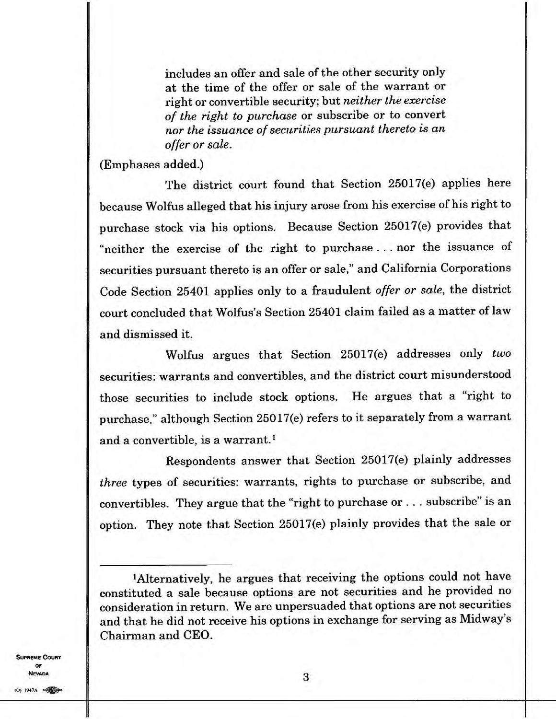**includes an offer and sale of the other security only at the time of the offer or sale of the warrant or right or convertible security; but** *neither the exercise of the right to purchase* **or subscribe or to convert**  *nor the issuance of securities pursuant thereto is an offer or sale.* 

**(Emphases added.)** 

**The district court found that Section 25017(e) applies here because Wolfus alleged that his injury arose from his exercise of his right to purchase stock via his options. Because Section 25017(e) provides that "neither the exercise of the right to purchase . . . nor the issuance of securities pursuant thereto is an offer or sale," and California Corporations Code Section 25401 applies only to a fraudulent** *offer or sale,* **the district court concluded that Wolfus's Section 25401 claim failed as a matter of law and dismissed it.** 

**Wolfus argues that Section 25017(e) addresses only** *two*  **securities: warrants and convertibles, and the district court misunderstood those securities to include stock options. He argues that a "right to purchase," although Section 25017(e) refers to it separately from a warrant and a convertible, is a warrant.'** 

**Respondents answer that Section 25017(e) plainly addresses**  *three* **types of securities: warrants, rights to purchase or subscribe, and convertibles. They argue that the "right to purchase or. . . subscribe" is an option. They note that Section 25017(e) plainly provides that the sale or** 

**SUPREME COURT OF NEVADA** 

**<sup>&#</sup>x27;Alternatively, he argues that receiving the options could not have constituted a sale because options are not securities and he provided no consideration in return. We are unpersuaded that options are not securities and that he did not receive his options in exchange for serving as Midway's Chairman and CEO.**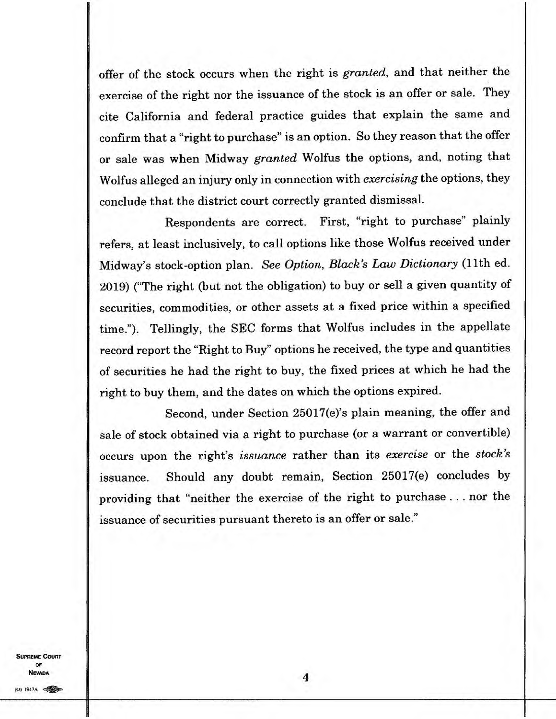offer of the stock occurs when the right is *granted,* and that neither the exercise of the right nor the issuance of the stock is an offer or sale. They cite California and federal practice guides that explain the same and confirm that a "right to purchase" is an option. So they reason that the offer or sale was when Midway *granted* Wolfus the options, and, noting that Wolfus alleged an injury only in connection with *exercising* the options, they conclude that the district court correctly granted dismissal.

Respondents are correct. First, "right to purchase" plainly refers, at least inclusively, to call options like those Wolfus received under Midway's stock-option plan. *See Option, Black's Law Dictionary* (11th ed. 2019) (The right (but not the obligation) to buy or sell a given quantity of securities, commodities, or other assets at a fixed price within a specified time."). Tellingly, the SEC forms that Wolfus includes in the appellate record report the "Right to Buy" options he received, the type and quantities of securities he had the right to buy, the fixed prices at which he had the right to buy them, and the dates on which the options expired.

Second, under Section 25017(e)'s plain meaning, the offer and sale of stock obtained via a right to purchase (or a warrant or convertible) occurs upon the right's *issuance* rather than its *exercise* or the *stock's*  issuance. Should any doubt remain, Section 25017(e) concludes by providing that "neither the exercise of the right to purchase . . . nor the issuance of securities pursuant thereto is an offer or sale."

**SUPREME COURT OF NEVADA**